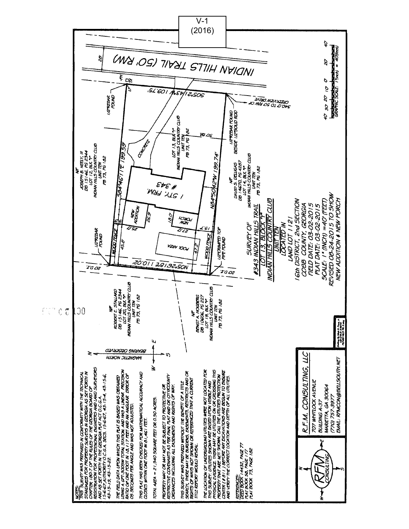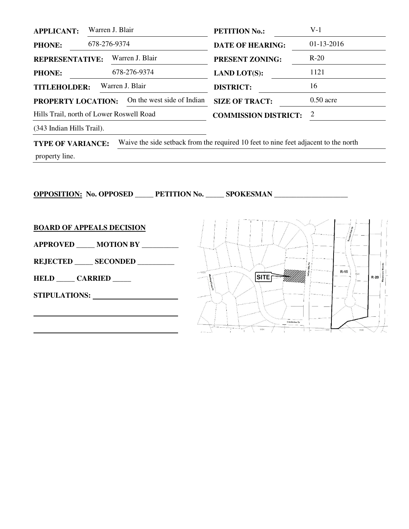| <b>APPLICANT:</b>                                       | Warren J. Blair |                 | <b>PETITION No.:</b>        | $V-1$        |  |  |
|---------------------------------------------------------|-----------------|-----------------|-----------------------------|--------------|--|--|
| <b>PHONE:</b>                                           | 678-276-9374    |                 | <b>DATE OF HEARING:</b>     | $01-13-2016$ |  |  |
| <b>REPRESENTATIVE:</b>                                  |                 | Warren J. Blair | <b>PRESENT ZONING:</b>      | $R-20$       |  |  |
| <b>PHONE:</b>                                           |                 | 678-276-9374    | <b>LAND LOT(S):</b>         | 1121         |  |  |
| <b>TITLEHOLDER:</b>                                     |                 | Warren J. Blair | <b>DISTRICT:</b>            | 16           |  |  |
| On the west side of Indian<br><b>PROPERTY LOCATION:</b> |                 |                 | <b>SIZE OF TRACT:</b>       | $0.50$ acre  |  |  |
| Hills Trail, north of Lower Roswell Road                |                 |                 | <b>COMMISSION DISTRICT:</b> | 2            |  |  |
|                                                         |                 |                 |                             |              |  |  |

(343 Indian Hills Trail).

**TYPE OF VARIANCE:** Waive the side setback from the required 10 feet to nine feet adjacent to the north

property line.

**OPPOSITION: No. OPPOSED \_\_\_\_\_ PETITION No. \_\_\_\_\_ SPOKESMAN \_\_\_\_\_\_\_\_\_\_\_\_\_\_\_\_\_\_\_\_** 

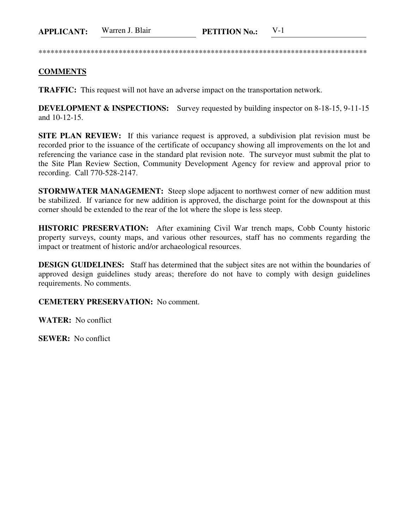\*\*\*\*\*\*\*\*\*\*\*\*\*\*\*\*\*\*\*\*\*\*\*\*\*\*\*\*\*\*\*\*\*\*\*\*\*\*\*\*\*\*\*\*\*\*\*\*\*\*\*\*\*\*\*\*\*\*\*\*\*\*\*\*\*\*\*\*\*\*\*\*\*\*\*\*\*\*\*\*\*\*

## **COMMENTS**

**TRAFFIC:** This request will not have an adverse impact on the transportation network.

**DEVELOPMENT & INSPECTIONS:** Survey requested by building inspector on 8-18-15, 9-11-15 and 10-12-15.

**SITE PLAN REVIEW:** If this variance request is approved, a subdivision plat revision must be recorded prior to the issuance of the certificate of occupancy showing all improvements on the lot and referencing the variance case in the standard plat revision note. The surveyor must submit the plat to the Site Plan Review Section, Community Development Agency for review and approval prior to recording. Call 770-528-2147.

**STORMWATER MANAGEMENT:** Steep slope adjacent to northwest corner of new addition must be stabilized. If variance for new addition is approved, the discharge point for the downspout at this corner should be extended to the rear of the lot where the slope is less steep.

**HISTORIC PRESERVATION:** After examining Civil War trench maps, Cobb County historic property surveys, county maps, and various other resources, staff has no comments regarding the impact or treatment of historic and/or archaeological resources.

**DESIGN GUIDELINES:** Staff has determined that the subject sites are not within the boundaries of approved design guidelines study areas; therefore do not have to comply with design guidelines requirements. No comments.

**CEMETERY PRESERVATION:** No comment.

**WATER:** No conflict

**SEWER:** No conflict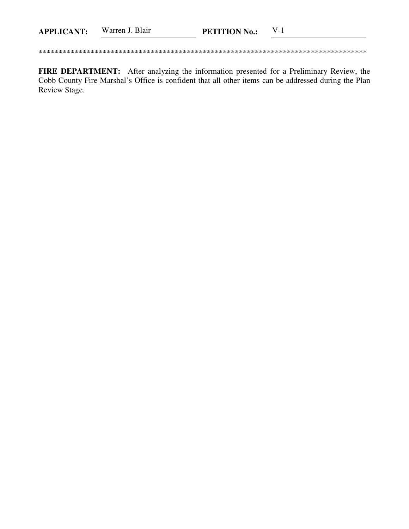| <b>APPLICANT:</b> | Warren J. Blair | <b>PETITION No.:</b> |  |
|-------------------|-----------------|----------------------|--|
|                   |                 |                      |  |

FIRE DEPARTMENT: After analyzing the information presented for a Preliminary Review, the Cobb County Fire Marshal's Office is confident that all other items can be addressed during the Plan Review Stage.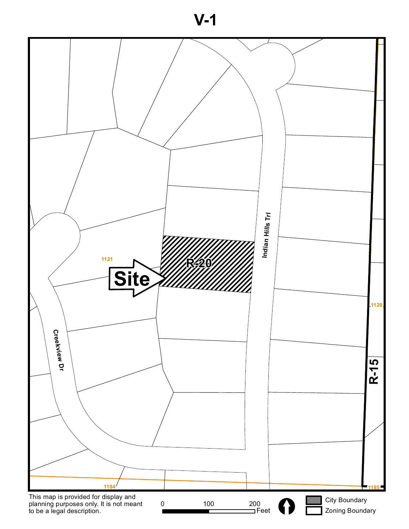